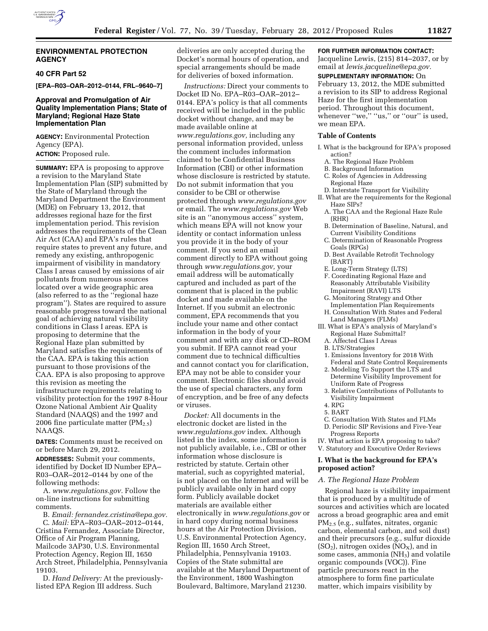

## **ENVIRONMENTAL PROTECTION AGENCY**

## **40 CFR Part 52**

**[EPA–R03–OAR–2012–0144, FRL–9640–7]** 

## **Approval and Promulgation of Air Quality Implementation Plans; State of Maryland; Regional Haze State Implementation Plan**

**AGENCY:** Environmental Protection Agency (EPA).

## **ACTION:** Proposed rule.

**SUMMARY:** EPA is proposing to approve a revision to the Maryland State Implementation Plan (SIP) submitted by the State of Maryland through the Maryland Department the Environment (MDE) on February 13, 2012, that addresses regional haze for the first implementation period. This revision addresses the requirements of the Clean Air Act (CAA) and EPA's rules that require states to prevent any future, and remedy any existing, anthropogenic impairment of visibility in mandatory Class I areas caused by emissions of air pollutants from numerous sources located over a wide geographic area (also referred to as the ''regional haze program''). States are required to assure reasonable progress toward the national goal of achieving natural visibility conditions in Class I areas. EPA is proposing to determine that the Regional Haze plan submitted by Maryland satisfies the requirements of the CAA. EPA is taking this action pursuant to those provisions of the CAA. EPA is also proposing to approve this revision as meeting the infrastructure requirements relating to visibility protection for the 1997 8-Hour Ozone National Ambient Air Quality Standard (NAAQS) and the 1997 and 2006 fine particulate matter  $(PM_{2.5})$ NAAQS.

**DATES:** Comments must be received on or before March 29, 2012.

**ADDRESSES:** Submit your comments, identified by Docket ID Number EPA– R03–OAR–2012–0144 by one of the following methods:

A. *[www.regulations.gov.](http://www.regulations.gov)* Follow the on-line instructions for submitting comments.

B. *Email: [fernandez.cristina@epa.gov.](mailto:fernandez.cristina@epa.gov)*  C. *Mail:* EPA–R03–OAR–2012–0144, Cristina Fernandez, Associate Director, Office of Air Program Planning, Mailcode 3AP30, U.S. Environmental Protection Agency, Region III, 1650 Arch Street, Philadelphia, Pennsylvania 19103.

D. *Hand Delivery:* At the previouslylisted EPA Region III address. Such

deliveries are only accepted during the Docket's normal hours of operation, and special arrangements should be made for deliveries of boxed information.

*Instructions:* Direct your comments to Docket ID No. EPA–R03–OAR–2012– 0144. EPA's policy is that all comments received will be included in the public docket without change, and may be made available online at *[www.regulations.gov,](http://www.regulations.gov)* including any personal information provided, unless the comment includes information claimed to be Confidential Business Information (CBI) or other information whose disclosure is restricted by statute. Do not submit information that you consider to be CBI or otherwise protected through *[www.regulations.gov](http://www.regulations.gov)*  or email. The *[www.regulations.gov](http://www.regulations.gov)* Web site is an ''anonymous access'' system, which means EPA will not know your identity or contact information unless you provide it in the body of your comment. If you send an email comment directly to EPA without going through *[www.regulations.gov,](http://www.regulations.gov)* your email address will be automatically captured and included as part of the comment that is placed in the public docket and made available on the Internet. If you submit an electronic comment, EPA recommends that you include your name and other contact information in the body of your comment and with any disk or CD–ROM you submit. If EPA cannot read your comment due to technical difficulties and cannot contact you for clarification, EPA may not be able to consider your comment. Electronic files should avoid the use of special characters, any form of encryption, and be free of any defects or viruses.

*Docket:* All documents in the electronic docket are listed in the *[www.regulations.gov](http://www.regulations.gov)* index. Although listed in the index, some information is not publicly available, i.e., CBI or other information whose disclosure is restricted by statute. Certain other material, such as copyrighted material, is not placed on the Internet and will be publicly available only in hard copy form. Publicly available docket materials are available either electronically in *[www.regulations.gov](http://www.regulations.gov)* or in hard copy during normal business hours at the Air Protection Division, U.S. Environmental Protection Agency, Region III, 1650 Arch Street, Philadelphia, Pennsylvania 19103. Copies of the State submittal are available at the Maryland Department of the Environment, 1800 Washington Boulevard, Baltimore, Maryland 21230.

### **FOR FURTHER INFORMATION CONTACT:**

Jacqueline Lewis, (215) 814–2037, or by email at *[lewis.jacqueline@epa.gov.](mailto:lewis.jacqueline@epa.gov)*  **SUPPLEMENTARY INFORMATION:** On February 13, 2012, the MDE submitted a revision to its SIP to address Regional Haze for the first implementation period. Throughout this document, whenever "we," "us," or "our" is used, we mean EPA.

#### **Table of Contents**

- I. What is the background for EPA's proposed action?
	- A. The Regional Haze Problem
	- B. Background Information
- C. Roles of Agencies in Addressing Regional Haze
- D. Interstate Transport for Visibility
- II. What are the requirements for the Regional Haze SIPs?
	- A. The CAA and the Regional Haze Rule (RHR)
	- B. Determination of Baseline, Natural, and Current Visibility Conditions
	- C. Determination of Reasonable Progress Goals (RPGs)
	- D. Best Available Retrofit Technology (BART)
	- E. Long-Term Strategy (LTS)
	- F. Coordinating Regional Haze and Reasonably Attributable Visibility Impairment (RAVI) LTS
	- G. Monitoring Strategy and Other Implementation Plan Requirements
	- H. Consultation With States and Federal Land Managers (FLMs)
- III. What is EPA's analysis of Maryland's Regional Haze Submittal?
	- A. Affected Class I Areas
	- B. LTS/Strategies
	- 1. Emissions Inventory for 2018 With Federal and State Control Requirements
	- 2. Modeling To Support the LTS and Determine Visibility Improvement for Uniform Rate of Progress
	- 3. Relative Contributions of Pollutants to Visibility Impairment
	- 4. RPG
	- 5. BART
- C. Consultation With States and FLMs D. Periodic SIP Revisions and Five-Year
- Progress Reports

IV. What action is EPA proposing to take? V. Statutory and Executive Order Reviews

### **I. What is the background for EPA's proposed action?**

#### *A. The Regional Haze Problem*

Regional haze is visibility impairment that is produced by a multitude of sources and activities which are located across a broad geographic area and emit PM2.5 (e.g., sulfates, nitrates, organic carbon, elemental carbon, and soil dust) and their precursors (e.g., sulfur dioxide  $(SO<sub>2</sub>)$ , nitrogen oxides  $(NO<sub>X</sub>)$ , and in some cases, ammonia (NH<sub>3</sub>) and volatile organic compounds (VOC)). Fine particle precursors react in the atmosphere to form fine particulate matter, which impairs visibility by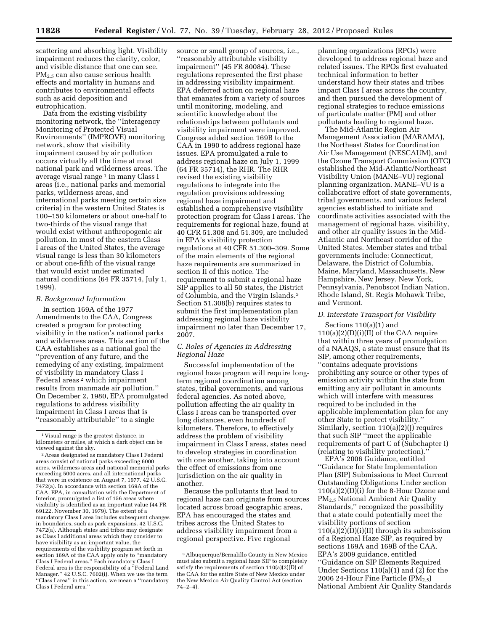scattering and absorbing light. Visibility impairment reduces the clarity, color, and visible distance that one can see. PM2.5 can also cause serious health effects and mortality in humans and contributes to environmental effects such as acid deposition and eutrophication.

Data from the existing visibility monitoring network, the ''Interagency Monitoring of Protected Visual Environments'' (IMPROVE) monitoring network, show that visibility impairment caused by air pollution occurs virtually all the time at most national park and wilderness areas. The average visual range<sup>1</sup> in many Class I areas (i.e., national parks and memorial parks, wilderness areas, and international parks meeting certain size criteria) in the western United States is 100–150 kilometers or about one-half to two-thirds of the visual range that would exist without anthropogenic air pollution. In most of the eastern Class I areas of the United States, the average visual range is less than 30 kilometers or about one-fifth of the visual range that would exist under estimated natural conditions (64 FR 35714, July 1, 1999).

### *B. Background Information*

In section 169A of the 1977 Amendments to the CAA, Congress created a program for protecting visibility in the nation's national parks and wilderness areas. This section of the CAA establishes as a national goal the ''prevention of any future, and the remedying of any existing, impairment of visibility in mandatory Class I Federal areas<sup>2</sup> which impairment results from manmade air pollution.'' On December 2, 1980, EPA promulgated regulations to address visibility impairment in Class I areas that is ''reasonably attributable'' to a single

source or small group of sources, i.e., ''reasonably attributable visibility impairment'' (45 FR 80084). These regulations represented the first phase in addressing visibility impairment. EPA deferred action on regional haze that emanates from a variety of sources until monitoring, modeling, and scientific knowledge about the relationships between pollutants and visibility impairment were improved. Congress added section 169B to the CAA in 1990 to address regional haze issues. EPA promulgated a rule to address regional haze on July 1, 1999 (64 FR 35714), the RHR. The RHR revised the existing visibility regulations to integrate into the regulation provisions addressing regional haze impairment and established a comprehensive visibility protection program for Class I areas. The requirements for regional haze, found at 40 CFR 51.308 and 51.309, are included in EPA's visibility protection regulations at 40 CFR 51.300–309. Some of the main elements of the regional haze requirements are summarized in section II of this notice. The requirement to submit a regional haze SIP applies to all 50 states, the District of Columbia, and the Virgin Islands.3 Section 51.308(b) requires states to submit the first implementation plan addressing regional haze visibility impairment no later than December 17, 2007.

## *C. Roles of Agencies in Addressing Regional Haze*

Successful implementation of the regional haze program will require longterm regional coordination among states, tribal governments, and various federal agencies. As noted above, pollution affecting the air quality in Class I areas can be transported over long distances, even hundreds of kilometers. Therefore, to effectively address the problem of visibility impairment in Class I areas, states need to develop strategies in coordination with one another, taking into account the effect of emissions from one jurisdiction on the air quality in another.

Because the pollutants that lead to regional haze can originate from sources located across broad geographic areas, EPA has encouraged the states and tribes across the United States to address visibility impairment from a regional perspective. Five regional

planning organizations (RPOs) were developed to address regional haze and related issues. The RPOs first evaluated technical information to better understand how their states and tribes impact Class I areas across the country, and then pursued the development of regional strategies to reduce emissions of particulate matter (PM) and other pollutants leading to regional haze.

The Mid-Atlantic Region Air Management Association (MARAMA), the Northeast States for Coordination Air Use Management (NESCAUM), and the Ozone Transport Commission (OTC) established the Mid-Atlantic/Northeast Visibility Union (MANE–VU) regional planning organization. MANE–VU is a collaborative effort of state governments, tribal governments, and various federal agencies established to initiate and coordinate activities associated with the management of regional haze, visibility, and other air quality issues in the Mid-Atlantic and Northeast corridor of the United States. Member states and tribal governments include: Connecticut, Delaware, the District of Columbia, Maine, Maryland, Massachusetts, New Hampshire, New Jersey, New York, Pennsylvania, Penobscot Indian Nation, Rhode Island, St. Regis Mohawk Tribe, and Vermont.

#### *D. Interstate Transport for Visibility*

Sections 110(a)(1) and 110(a)(2)(D)(i)(II) of the CAA require that within three years of promulgation of a NAAQS, a state must ensure that its SIP, among other requirements, ''contains adequate provisions prohibiting any source or other types of emission activity within the state from emitting any air pollutant in amounts which will interfere with measures required to be included in the applicable implementation plan for any other State to protect visibility.'' Similarly, section 110(a)(2)(J) requires that such SIP ''meet the applicable requirements of part C of (Subchapter I) (relating to visibility protection).''

EPA's 2006 Guidance, entitled ''Guidance for State Implementation Plan (SIP) Submissions to Meet Current Outstanding Obligations Under section 110(a)(2)(D)(i) for the 8-Hour Ozone and PM2.5 National Ambient Air Quality Standards,'' recognized the possibility that a state could potentially meet the visibility portions of section  $110(a)(2)(D)(i)(II)$  through its submission of a Regional Haze SIP, as required by sections 169A and 169B of the CAA. EPA's 2009 guidance, entitled ''Guidance on SIP Elements Required Under Sections 110(a)(1) and (2) for the 2006 24-Hour Fine Particle  $(PM_{2.5})$ National Ambient Air Quality Standards

<sup>1</sup> Visual range is the greatest distance, in kilometers or miles, at which a dark object can be

<sup>&</sup>lt;sup>2</sup> Areas designated as mandatory Class I Federal areas consist of national parks exceeding 6000 acres, wilderness areas and national memorial parks exceeding 5000 acres, and all international parks that were in existence on August 7, 1977. 42 U.S.C. 7472(a). In accordance with section 169A of the CAA, EPA, in consultation with the Department of Interior, promulgated a list of 156 areas where visibility is identified as an important value (44 FR 69122, November 30, 1979). The extent of a mandatory Class I area includes subsequent changes in boundaries, such as park expansions. 42 U.S.C. 7472(a). Although states and tribes may designate as Class I additional areas which they consider to have visibility as an important value, the requirements of the visibility program set forth in section 169A of the CAA apply only to ''mandatory Class I Federal areas.'' Each mandatory Class I Federal area is the responsibility of a "Federal Land Manager.'' 42 U.S.C. 7602(i). When we use the term ''Class I area'' in this action, we mean a ''mandatory Class I Federal area.''

<sup>3</sup>Albuquerque/Bernalillo County in New Mexico must also submit a regional haze SIP to completely satisfy the requirements of section  $110(a)(2)$ (D) of the CAA for the entire State of New Mexico under the New Mexico Air Quality Control Act (section 74–2–4).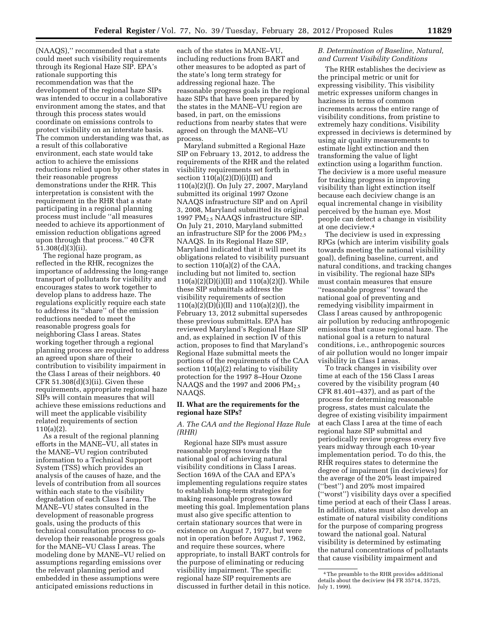(NAAQS),'' recommended that a state could meet such visibility requirements through its Regional Haze SIP. EPA's rationale supporting this recommendation was that the development of the regional haze SIPs was intended to occur in a collaborative environment among the states, and that through this process states would coordinate on emissions controls to protect visibility on an interstate basis. The common understanding was that, as a result of this collaborative environment, each state would take action to achieve the emissions reductions relied upon by other states in their reasonable progress demonstrations under the RHR. This interpretation is consistent with the requirement in the RHR that a state participating in a regional planning process must include ''all measures needed to achieve its apportionment of emission reduction obligations agreed upon through that process.'' 40 CFR 51.308(d)(3)(ii).

The regional haze program, as reflected in the RHR, recognizes the importance of addressing the long-range transport of pollutants for visibility and encourages states to work together to develop plans to address haze. The regulations explicitly require each state to address its ''share'' of the emission reductions needed to meet the reasonable progress goals for neighboring Class I areas. States working together through a regional planning process are required to address an agreed upon share of their contribution to visibility impairment in the Class I areas of their neighbors. 40 CFR 51.308(d)(3)(ii). Given these requirements, appropriate regional haze SIPs will contain measures that will achieve these emissions reductions and will meet the applicable visibility related requirements of section 110(a)(2).

As a result of the regional planning efforts in the MANE–VU, all states in the MANE–VU region contributed information to a Technical Support System (TSS) which provides an analysis of the causes of haze, and the levels of contribution from all sources within each state to the visibility degradation of each Class I area. The MANE–VU states consulted in the development of reasonable progress goals, using the products of this technical consultation process to codevelop their reasonable progress goals for the MANE–VU Class I areas. The modeling done by MANE–VU relied on assumptions regarding emissions over the relevant planning period and embedded in these assumptions were anticipated emissions reductions in

each of the states in MANE–VU, including reductions from BART and other measures to be adopted as part of the state's long term strategy for addressing regional haze. The reasonable progress goals in the regional haze SIPs that have been prepared by the states in the MANE–VU region are based, in part, on the emissions reductions from nearby states that were agreed on through the MANE–VU process.

Maryland submitted a Regional Haze SIP on February 13, 2012, to address the requirements of the RHR and the related visibility requirements set forth in section  $110(a)(2)(D)(i)(II)$  and 110(a)(2)(J). On July 27, 2007, Maryland submitted its original 1997 Ozone NAAQS infrastructure SIP and on April 3, 2008, Maryland submitted its original 1997 PM2.5 NAAQS infrastructure SIP. On July 21, 2010, Maryland submitted an infrastructure SIP for the 2006  $PM_{2.5}$ NAAQS. In its Regional Haze SIP, Maryland indicated that it will meet its obligations related to visibility pursuant to section 110(a)(2) of the CAA, including but not limited to, section  $110(a)(2)(D)(i)(II)$  and  $110(a)(2)(I)$ . While these SIP submittals address the visibility requirements of section 110(a)(2)(D)(i)(II) and 110(a)(2)(J), the February 13, 2012 submittal supersedes these previous submittals. EPA has reviewed Maryland's Regional Haze SIP and, as explained in section IV of this action, proposes to find that Maryland's Regional Haze submittal meets the portions of the requirements of the CAA section 110(a)(2) relating to visibility protection for the 1997 8–Hour Ozone NAAQS and the 1997 and 2006  $PM_{2.5}$ NAAQS.

### **II. What are the requirements for the regional haze SIPs?**

## *A. The CAA and the Regional Haze Rule (RHR)*

Regional haze SIPs must assure reasonable progress towards the national goal of achieving natural visibility conditions in Class I areas. Section 169A of the CAA and EPA's implementing regulations require states to establish long-term strategies for making reasonable progress toward meeting this goal. Implementation plans must also give specific attention to certain stationary sources that were in existence on August 7, 1977, but were not in operation before August 7, 1962, and require these sources, where appropriate, to install BART controls for the purpose of eliminating or reducing visibility impairment. The specific regional haze SIP requirements are discussed in further detail in this notice.

## *B. Determination of Baseline, Natural, and Current Visibility Conditions*

The RHR establishes the deciview as the principal metric or unit for expressing visibility. This visibility metric expresses uniform changes in haziness in terms of common increments across the entire range of visibility conditions, from pristine to extremely hazy conditions. Visibility expressed in deciviews is determined by using air quality measurements to estimate light extinction and then transforming the value of light extinction using a logarithm function. The deciview is a more useful measure for tracking progress in improving visibility than light extinction itself because each deciview change is an equal incremental change in visibility perceived by the human eye. Most people can detect a change in visibility at one deciview.4

The deciview is used in expressing RPGs (which are interim visibility goals towards meeting the national visibility goal), defining baseline, current, and natural conditions, and tracking changes in visibility. The regional haze SIPs must contain measures that ensure ''reasonable progress'' toward the national goal of preventing and remedying visibility impairment in Class I areas caused by anthropogenic air pollution by reducing anthropogenic emissions that cause regional haze. The national goal is a return to natural conditions, i.e., anthropogenic sources of air pollution would no longer impair visibility in Class I areas.

To track changes in visibility over time at each of the 156 Class I areas covered by the visibility program (40 CFR 81.401–437), and as part of the process for determining reasonable progress, states must calculate the degree of existing visibility impairment at each Class I area at the time of each regional haze SIP submittal and periodically review progress every five years midway through each 10-year implementation period. To do this, the RHR requires states to determine the degree of impairment (in deciviews) for the average of the 20% least impaired (''best'') and 20% most impaired (''worst'') visibility days over a specified time period at each of their Class I areas. In addition, states must also develop an estimate of natural visibility conditions for the purpose of comparing progress toward the national goal. Natural visibility is determined by estimating the natural concentrations of pollutants that cause visibility impairment and

<sup>4</sup>The preamble to the RHR provides additional details about the deciview (64 FR 35714, 35725, July 1, 1999).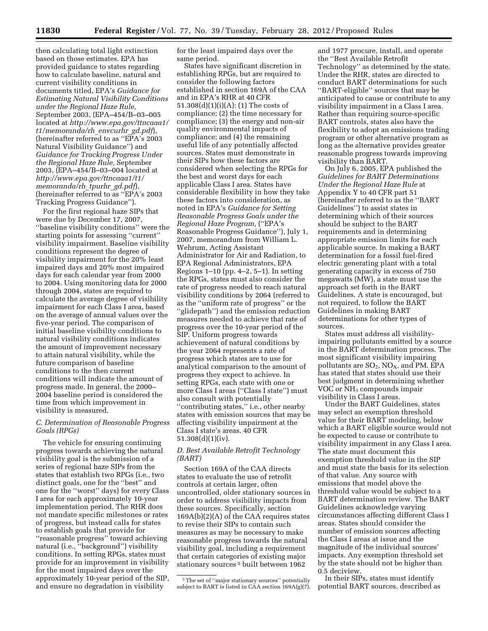then calculating total light extinction based on those estimates. EPA has provided guidance to states regarding how to calculate baseline, natural and current visibility conditions in documents titled, EPA's *Guidance for Estimating Natural Visibility Conditions under the Regional Haze Rule,*  September 2003, (EPA–454/B–03–005 located at *[http://www.epa.gov/ttncaaa1/](http://www.epa.gov/ttncaaa1/t1/memoranda/rh_envcurhr_gd.pdf)  [t1/memoranda/rh](http://www.epa.gov/ttncaaa1/t1/memoranda/rh_envcurhr_gd.pdf)*\_*envcurhr*\_*gd.pdf*), (hereinafter referred to as ''EPA's 2003 Natural Visibility Guidance'') and *Guidance for Tracking Progress Under the Regional Haze Rule,* September 2003, (EPA–454/B–03–004 located at *[http://www.epa.gov/ttncaaa1/t1/](http://www.epa.gov/ttncaaa1/t1/memoranda/rh_tpurhr_gd.pdf)  [memoranda/rh](http://www.epa.gov/ttncaaa1/t1/memoranda/rh_tpurhr_gd.pdf)*\_*tpurhr*\_*gd.pdf*), (hereinafter referred to as ''EPA's 2003 Tracking Progress Guidance'').

For the first regional haze SIPs that were due by December 17, 2007, ''baseline visibility conditions'' were the starting points for assessing ''current'' visibility impairment. Baseline visibility conditions represent the degree of visibility impairment for the 20% least impaired days and 20% most impaired days for each calendar year from 2000 to 2004. Using monitoring data for 2000 through 2004, states are required to calculate the average degree of visibility impairment for each Class I area, based on the average of annual values over the five-year period. The comparison of initial baseline visibility conditions to natural visibility conditions indicates the amount of improvement necessary to attain natural visibility, while the future comparison of baseline conditions to the then current conditions will indicate the amount of progress made. In general, the 2000– 2004 baseline period is considered the time from which improvement in visibility is measured.

## *C. Determination of Reasonable Progress Goals (RPGs)*

The vehicle for ensuring continuing progress towards achieving the natural visibility goal is the submission of a series of regional haze SIPs from the states that establish two RPGs (i.e., two distinct goals, one for the ''best'' and one for the ''worst'' days) for every Class I area for each approximately 10-year implementation period. The RHR does not mandate specific milestones or rates of progress, but instead calls for states to establish goals that provide for ''reasonable progress'' toward achieving natural (i.e., ''background'') visibility conditions. In setting RPGs, states must provide for an improvement in visibility for the most impaired days over the approximately 10-year period of the SIP, and ensure no degradation in visibility

for the least impaired days over the same period.

States have significant discretion in establishing RPGs, but are required to consider the following factors established in section 169A of the CAA and in EPA's RHR at 40 CFR 51.308(d)(1)(i)(A): (1) The costs of compliance; (2) the time necessary for compliance; (3) the energy and non-air quality environmental impacts of compliance; and (4) the remaining useful life of any potentially affected sources. States must demonstrate in their SIPs how these factors are considered when selecting the RPGs for the best and worst days for each applicable Class I area. States have considerable flexibility in how they take these factors into consideration, as noted in EPA's *Guidance for Setting Reasonable Progress Goals under the Regional Haze Program,* (''EPA's Reasonable Progress Guidance''), July 1, 2007, memorandum from William L. Wehrum, Acting Assistant Administrator for Air and Radiation, to EPA Regional Administrators, EPA Regions 1–10 (pp. 4–2, 5–1). In setting the RPGs, states must also consider the rate of progress needed to reach natural visibility conditions by 2064 (referred to as the ''uniform rate of progress'' or the ''glidepath'') and the emission reduction measures needed to achieve that rate of progress over the 10-year period of the SIP. Uniform progress towards achievement of natural conditions by the year 2064 represents a rate of progress which states are to use for analytical comparison to the amount of progress they expect to achieve. In setting RPGs, each state with one or more Class I areas (''Class I state'') must also consult with potentially ''contributing states,'' i.e., other nearby states with emission sources that may be affecting visibility impairment at the Class I state's areas. 40 CFR 51.308(d)(1)(iv).

## *D. Best Available Retrofit Technology (BART)*

Section 169A of the CAA directs states to evaluate the use of retrofit controls at certain larger, often uncontrolled, older stationary sources in order to address visibility impacts from these sources. Specifically, section 169A(b)(2)(A) of the CAA requires states to revise their SIPs to contain such measures as may be necessary to make reasonable progress towards the natural visibility goal, including a requirement that certain categories of existing major stationary sources 5 built between 1962

and 1977 procure, install, and operate the ''Best Available Retrofit Technology'' as determined by the state. Under the RHR, states are directed to conduct BART determinations for such ''BART-eligible'' sources that may be anticipated to cause or contribute to any visibility impairment in a Class I area. Rather than requiring source-specific BART controls, states also have the flexibility to adopt an emissions trading program or other alternative program as long as the alternative provides greater reasonable progress towards improving visibility than BART.

On July 6, 2005, EPA published the *Guidelines for BART Determinations Under the Regional Haze Rule* at Appendix Y to 40 CFR part 51 (hereinafter referred to as the ''BART Guidelines'') to assist states in determining which of their sources should be subject to the BART requirements and in determining appropriate emission limits for each applicable source. In making a BART determination for a fossil fuel-fired electric generating plant with a total generating capacity in excess of 750 megawatts (MW), a state must use the approach set forth in the BART Guidelines. A state is encouraged, but not required, to follow the BART Guidelines in making BART determinations for other types of sources.

States must address all visibilityimpairing pollutants emitted by a source in the BART determination process. The most significant visibility impairing pollutants are  $SO_2$ ,  $NO_X$ , and PM. EPA has stated that states should use their best judgment in determining whether VOC or NH<sub>3</sub> compounds impair visibility in Class I areas.

Under the BART Guidelines, states may select an exemption threshold value for their BART modeling, below which a BART eligible source would not be expected to cause or contribute to visibility impairment in any Class I area. The state must document this exemption threshold value in the SIP and must state the basis for its selection of that value. Any source with emissions that model above the threshold value would be subject to a BART determination review. The BART Guidelines acknowledge varying circumstances affecting different Class I areas. States should consider the number of emission sources affecting the Class I areas at issue and the magnitude of the individual sources' impacts. Any exemption threshold set by the state should not be higher than 0.5 deciview.

In their SIPs, states must identify potential BART sources, described as

<sup>5</sup>The set of ''major stationary sources'' potentially subject to BART is listed in  $CAA$  section  $169A(g)(7)$ .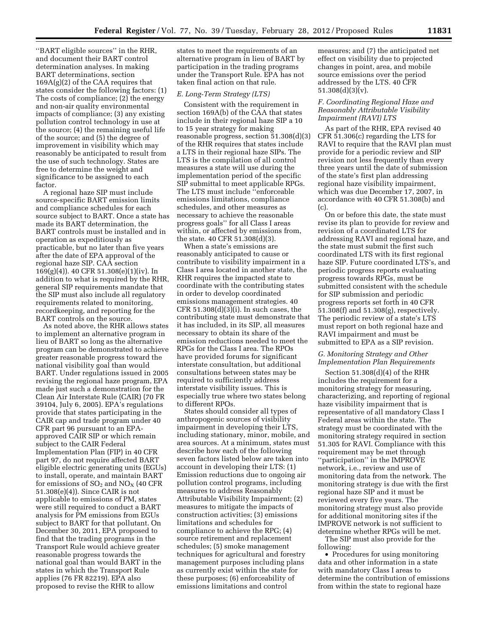''BART eligible sources'' in the RHR, and document their BART control determination analyses. In making BART determinations, section 169A(g)(2) of the CAA requires that states consider the following factors: (1) The costs of compliance; (2) the energy and non-air quality environmental impacts of compliance; (3) any existing pollution control technology in use at the source; (4) the remaining useful life of the source; and (5) the degree of improvement in visibility which may reasonably be anticipated to result from the use of such technology. States are free to determine the weight and significance to be assigned to each factor.

A regional haze SIP must include source-specific BART emission limits and compliance schedules for each source subject to BART. Once a state has made its BART determination, the BART controls must be installed and in operation as expeditiously as practicable, but no later than five years after the date of EPA approval of the regional haze SIP. CAA section 169(g)(4)). 40 CFR 51.308(e)(1)(iv). In addition to what is required by the RHR, general SIP requirements mandate that the SIP must also include all regulatory requirements related to monitoring, recordkeeping, and reporting for the BART controls on the source.

As noted above, the RHR allows states to implement an alternative program in lieu of BART so long as the alternative program can be demonstrated to achieve greater reasonable progress toward the national visibility goal than would BART. Under regulations issued in 2005 revising the regional haze program, EPA made just such a demonstration for the Clean Air Interstate Rule (CAIR) (70 FR 39104, July 6, 2005). EPA's regulations provide that states participating in the CAIR cap and trade program under 40 CFR part 96 pursuant to an EPAapproved CAIR SIP or which remain subject to the CAIR Federal Implementation Plan (FIP) in 40 CFR part 97, do not require affected BART eligible electric generating units (EGUs) to install, operate, and maintain BART for emissions of  $SO<sub>2</sub>$  and  $NO<sub>X</sub>$  (40 CFR 51.308(e)(4)). Since CAIR is not applicable to emissions of PM, states were still required to conduct a BART analysis for PM emissions from EGUs subject to BART for that pollutant. On December 30, 2011, EPA proposed to find that the trading programs in the Transport Rule would achieve greater reasonable progress towards the national goal than would BART in the states in which the Transport Rule applies (76 FR 82219). EPA also proposed to revise the RHR to allow

states to meet the requirements of an alternative program in lieu of BART by participation in the trading programs under the Transport Rule. EPA has not taken final action on that rule.

#### *E. Long-Term Strategy (LTS)*

Consistent with the requirement in section 169A(b) of the CAA that states include in their regional haze SIP a 10 to 15 year strategy for making reasonable progress, section 51.308(d)(3) of the RHR requires that states include a LTS in their regional haze SIPs. The LTS is the compilation of all control measures a state will use during the implementation period of the specific SIP submittal to meet applicable RPGs. The LTS must include ''enforceable emissions limitations, compliance schedules, and other measures as necessary to achieve the reasonable progress goals'' for all Class I areas within, or affected by emissions from, the state. 40 CFR 51.308(d)(3).

When a state's emissions are reasonably anticipated to cause or contribute to visibility impairment in a Class I area located in another state, the RHR requires the impacted state to coordinate with the contributing states in order to develop coordinated emissions management strategies. 40  $CFR$  51.308 $(d)(3)(i)$ . In such cases, the contributing state must demonstrate that it has included, in its SIP, all measures necessary to obtain its share of the emission reductions needed to meet the RPGs for the Class I area. The RPOs have provided forums for significant interstate consultation, but additional consultations between states may be required to sufficiently address interstate visibility issues. This is especially true where two states belong to different RPOs.

States should consider all types of anthropogenic sources of visibility impairment in developing their LTS, including stationary, minor, mobile, and area sources. At a minimum, states must describe how each of the following seven factors listed below are taken into account in developing their LTS: (1) Emission reductions due to ongoing air pollution control programs, including measures to address Reasonably Attributable Visibility Impairment; (2) measures to mitigate the impacts of construction activities; (3) emissions limitations and schedules for compliance to achieve the RPG; (4) source retirement and replacement schedules; (5) smoke management techniques for agricultural and forestry management purposes including plans as currently exist within the state for these purposes; (6) enforceability of emissions limitations and control

measures; and (7) the anticipated net effect on visibility due to projected changes in point, area, and mobile source emissions over the period addressed by the LTS. 40 CFR 51.308(d)(3)(v).

### *F. Coordinating Regional Haze and Reasonably Attributable Visibility Impairment (RAVI) LTS*

As part of the RHR, EPA revised 40 CFR 51.306(c) regarding the LTS for RAVI to require that the RAVI plan must provide for a periodic review and SIP revision not less frequently than every three years until the date of submission of the state's first plan addressing regional haze visibility impairment, which was due December 17, 2007, in accordance with 40 CFR 51.308(b) and (c).

On or before this date, the state must revise its plan to provide for review and revision of a coordinated LTS for addressing RAVI and regional haze, and the state must submit the first such coordinated LTS with its first regional haze SIP. Future coordinated LTS's, and periodic progress reports evaluating progress towards RPGs, must be submitted consistent with the schedule for SIP submission and periodic progress reports set forth in 40 CFR 51.308(f) and 51.308(g), respectively. The periodic review of a state's LTS must report on both regional haze and RAVI impairment and must be submitted to EPA as a SIP revision.

## *G. Monitoring Strategy and Other Implementation Plan Requirements*

Section 51.308(d)(4) of the RHR includes the requirement for a monitoring strategy for measuring, characterizing, and reporting of regional haze visibility impairment that is representative of all mandatory Class I Federal areas within the state. The strategy must be coordinated with the monitoring strategy required in section 51.305 for RAVI. Compliance with this requirement may be met through ''participation'' in the IMPROVE network, i.e., review and use of monitoring data from the network. The monitoring strategy is due with the first regional haze SIP and it must be reviewed every five years. The monitoring strategy must also provide for additional monitoring sites if the IMPROVE network is not sufficient to determine whether RPGs will be met.

The SIP must also provide for the following:

• Procedures for using monitoring data and other information in a state with mandatory Class I areas to determine the contribution of emissions from within the state to regional haze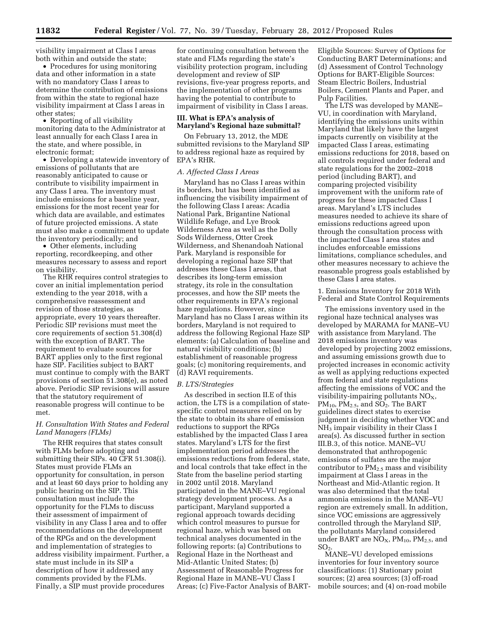visibility impairment at Class I areas both within and outside the state;

• Procedures for using monitoring data and other information in a state with no mandatory Class I areas to determine the contribution of emissions from within the state to regional haze visibility impairment at Class I areas in other states;

• Reporting of all visibility monitoring data to the Administrator at least annually for each Class I area in the state, and where possible, in electronic format;

• Developing a statewide inventory of emissions of pollutants that are reasonably anticipated to cause or contribute to visibility impairment in any Class I area. The inventory must include emissions for a baseline year, emissions for the most recent year for which data are available, and estimates of future projected emissions. A state must also make a commitment to update the inventory periodically; and

• Other elements, including reporting, recordkeeping, and other measures necessary to assess and report on visibility.

The RHR requires control strategies to cover an initial implementation period extending to the year 2018, with a comprehensive reassessment and revision of those strategies, as appropriate, every 10 years thereafter. Periodic SIP revisions must meet the core requirements of section 51.308(d) with the exception of BART. The requirement to evaluate sources for BART applies only to the first regional haze SIP. Facilities subject to BART must continue to comply with the BART provisions of section 51.308(e), as noted above. Periodic SIP revisions will assure that the statutory requirement of reasonable progress will continue to be met.

## *H. Consultation With States and Federal Land Managers (FLMs)*

The RHR requires that states consult with FLMs before adopting and submitting their SIPs. 40 CFR 51.308(i). States must provide FLMs an opportunity for consultation, in person and at least 60 days prior to holding any public hearing on the SIP. This consultation must include the opportunity for the FLMs to discuss their assessment of impairment of visibility in any Class I area and to offer recommendations on the development of the RPGs and on the development and implementation of strategies to address visibility impairment. Further, a state must include in its SIP a description of how it addressed any comments provided by the FLMs. Finally, a SIP must provide procedures

for continuing consultation between the state and FLMs regarding the state's visibility protection program, including development and review of SIP revisions, five-year progress reports, and the implementation of other programs having the potential to contribute to impairment of visibility in Class I areas.

# **III. What is EPA's analysis of Maryland's Regional haze submittal?**

On February 13, 2012, the MDE submitted revisions to the Maryland SIP to address regional haze as required by EPA's RHR.

### *A. Affected Class I Areas*

Maryland has no Class I areas within its borders, but has been identified as influencing the visibility impairment of the following Class I areas: Acadia National Park, Brigantine National Wildlife Refuge, and Lye Brook Wilderness Area as well as the Dolly Sods Wilderness, Otter Creek Wilderness, and Shenandoah National Park. Maryland is responsible for developing a regional haze SIP that addresses these Class I areas, that describes its long-term emission strategy, its role in the consultation processes, and how the SIP meets the other requirements in EPA's regional haze regulations. However, since Maryland has no Class I areas within its borders, Maryland is not required to address the following Regional Haze SIP elements: (a) Calculation of baseline and natural visibility conditions; (b) establishment of reasonable progress goals; (c) monitoring requirements, and (d) RAVI requirements.

#### *B. LTS/Strategies*

As described in section II.E of this action, the LTS is a compilation of statespecific control measures relied on by the state to obtain its share of emission reductions to support the RPGs established by the impacted Class I area states. Maryland's LTS for the first implementation period addresses the emissions reductions from federal, state, and local controls that take effect in the State from the baseline period starting in 2002 until 2018. Maryland participated in the MANE–VU regional strategy development process. As a participant, Maryland supported a regional approach towards deciding which control measures to pursue for regional haze, which was based on technical analyses documented in the following reports: (a) Contributions to Regional Haze in the Northeast and Mid-Atlantic United States; (b) Assessment of Reasonable Progress for Regional Haze in MANE–VU Class I Areas; (c) Five-Factor Analysis of BART- Eligible Sources: Survey of Options for Conducting BART Determinations; and (d) Assessment of Control Technology Options for BART-Eligible Sources: Steam Electric Boilers, Industrial Boilers, Cement Plants and Paper, and Pulp Facilities.

The LTS was developed by MANE– VU, in coordination with Maryland, identifying the emissions units within Maryland that likely have the largest impacts currently on visibility at the impacted Class I areas, estimating emissions reductions for 2018, based on all controls required under federal and state regulations for the 2002–2018 period (including BART), and comparing projected visibility improvement with the uniform rate of progress for these impacted Class I areas. Maryland's LTS includes measures needed to achieve its share of emissions reductions agreed upon through the consultation process with the impacted Class I area states and includes enforceable emissions limitations, compliance schedules, and other measures necessary to achieve the reasonable progress goals established by these Class I area states.

1. Emissions Inventory for 2018 With Federal and State Control Requirements

The emissions inventory used in the regional haze technical analyses was developed by MARAMA for MANE–VU with assistance from Maryland. The 2018 emissions inventory was developed by projecting 2002 emissions, and assuming emissions growth due to projected increases in economic activity as well as applying reductions expected from federal and state regulations affecting the emissions of VOC and the visibility-impairing pollutants  $NO<sub>X</sub>$ ,  $PM_{10}$ ,  $PM_{2.5}$ , and  $SO_2$ . The BART guidelines direct states to exercise judgment in deciding whether VOC and NH3 impair visibility in their Class I area(s). As discussed further in section III.B.3, of this notice. MANE–VU demonstrated that anthropogenic emissions of sulfates are the major contributor to  $PM<sub>2.5</sub>$  mass and visibility impairment at Class I areas in the Northeast and Mid-Atlantic region. It was also determined that the total ammonia emissions in the MANE–VU region are extremely small. In addition, since VOC emissions are aggressively controlled through the Maryland SIP, the pollutants Maryland considered under BART are  $NO<sub>X</sub>$ ,  $PM<sub>10</sub>$ ,  $PM<sub>2.5</sub>$ , and  $SO<sub>2</sub>$ .

MANE–VU developed emissions inventories for four inventory source classifications: (1) Stationary point sources; (2) area sources; (3) off-road mobile sources; and (4) on-road mobile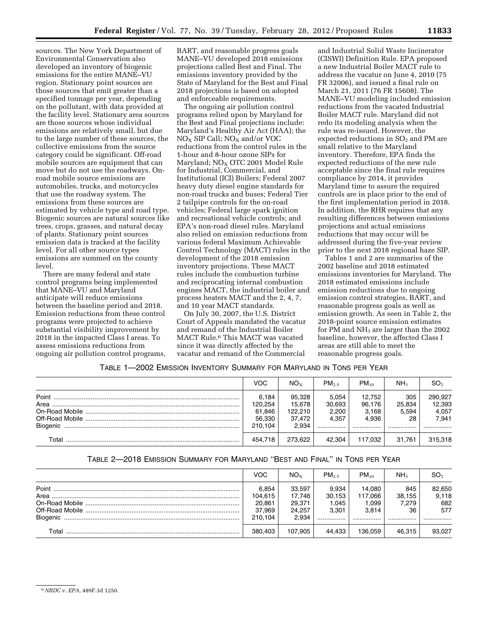sources. The New York Department of Environmental Conservation also developed an inventory of biogenic emissions for the entire MANE–VU region. Stationary point sources are those sources that emit greater than a specified tonnage per year, depending on the pollutant, with data provided at the facility level. Stationary area sources are those sources whose individual emissions are relatively small, but due to the large number of these sources, the collective emissions from the source category could be significant. Off-road mobile sources are equipment that can move but do not use the roadways. Onroad mobile source emissions are automobiles, trucks, and motorcycles that use the roadway system. The emissions from these sources are estimated by vehicle type and road type. Biogenic sources are natural sources like trees, crops, grasses, and natural decay of plants. Stationary point sources emission data is tracked at the facility level. For all other source types emissions are summed on the county level.

There are many federal and state control programs being implemented that MANE–VU and Maryland anticipate will reduce emissions between the baseline period and 2018. Emission reductions from these control programs were projected to achieve substantial visibility improvement by 2018 in the impacted Class I areas. To assess emissions reductions from ongoing air pollution control programs, BART, and reasonable progress goals MANE–VU developed 2018 emissions projections called Best and Final. The emissions inventory provided by the State of Maryland for the Best and Final 2018 projections is based on adopted and enforceable requirements.

The ongoing air pollution control programs relied upon by Maryland for the Best and Final projections include: Maryland's Healthy Air Act (HAA); the  $NO<sub>x</sub>$  SIP Call;  $NO<sub>x</sub>$  and/or VOC reductions from the control rules in the 1-hour and 8-hour ozone SIPs for Maryland; NO<sub>X</sub> OTC 2001 Model Rule for Industrial, Commercial, and Institutional (ICI) Boilers; Federal 2007 heavy duty diesel engine standards for non-road trucks and buses; Federal Tier 2 tailpipe controls for the on-road vehicles; Federal large spark ignition and recreational vehicle controls; and EPA's non-road diesel rules. Maryland also relied on emission reductions from various federal Maximum Achievable Control Technology (MACT) rules in the development of the 2018 emission inventory projections. These MACT rules include the combustion turbine and reciprocating internal combustion engines MACT, the industrial boiler and process heaters MACT and the 2, 4, 7, and 10 year MACT standards.

On July 30, 2007, the U.S. District Court of Appeals mandated the vacatur and remand of the Industrial Boiler MACT Rule.6 This MACT was vacated since it was directly affected by the vacatur and remand of the Commercial

and Industrial Solid Waste Incinerator (CISWI) Definition Rule. EPA proposed a new Industrial Boiler MACT rule to address the vacatur on June 4, 2010 (75 FR 32006), and issued a final rule on March 21, 2011 (76 FR 15608). The MANE–VU modeling included emission reductions from the vacated Industrial Boiler MACT rule. Maryland did not redo its modeling analysis when the rule was re-issued. However, the expected reductions in  $SO<sub>2</sub>$  and PM are small relative to the Maryland inventory. Therefore, EPA finds the expected reductions of the new rule acceptable since the final rule requires compliance by 2014, it provides Maryland time to assure the required controls are in place prior to the end of the first implementation period in 2018. In addition, the RHR requires that any resulting differences between emissions projections and actual emissions reductions that may occur will be addressed during the five-year review prior to the next 2018 regional haze SIP.

Tables 1 and 2 are summaries of the 2002 baseline and 2018 estimated emissions inventories for Maryland. The 2018 estimated emissions include emission reductions due to ongoing emission control strategies, BART, and reasonable progress goals as well as emission growth. As seen in Table 2, the 2018-point source emission estimates for PM and NH<sub>3</sub> are larger than the 2002 baseline, however, the affected Class I areas are still able to meet the reasonable progress goals.

TABLE 1—2002 EMISSION INVENTORY SUMMARY FOR MARYLAND IN TONS PER YEAR

|          | <b>VOC</b>                 | $NO_{x}$                    | $PM_{2.5}$               | $PM_{10}$                 | NH <sub>3</sub>        | SO <sub>2</sub>            |
|----------|----------------------------|-----------------------------|--------------------------|---------------------------|------------------------|----------------------------|
| Point    | 6.184<br>120.254<br>61,846 | 95,328<br>15.678<br>122.210 | 5.054<br>30,693<br>2,200 | 12.752<br>96,176<br>3.168 | 305<br>25,834<br>5.594 | 290.927<br>12,393<br>4,057 |
| Biogenic | 56,330<br>210.104          | 37,472<br>2.934             | 4.357<br>                | 4.936<br>                 | 28<br>                 | 7.941<br>                  |
| Total    | 454.718                    | 273.622                     | 42.304                   | 117.032                   | 31.761                 | 315,318                    |

# TABLE 2—2018 EMISSION SUMMARY FOR MARYLAND ''BEST AND FINAL'' IN TONS PER YEAR

|       | <b>VOC</b>       | $NO_{x}$         | $PM_{25}$       | $PM_{10}$         | NH <sub>3</sub> | SO,             |
|-------|------------------|------------------|-----------------|-------------------|-----------------|-----------------|
| Point | 6.854<br>104.615 | 33,597<br>17.746 | 9.934<br>30,153 | 14.080<br>117.066 | 845<br>38,155   | 82,650<br>9,118 |
|       | 20.861<br>37.969 | 29.371<br>24.257 | 1.045<br>3.301  | 1.099<br>3.814    | 7.279<br>36     | 682<br>577      |
|       | 210.104          | 2.934            |                 |                   |                 |                 |
| Total | 380.403          | 107.905          | 44.433          | 136.059           | 46.315          | 93.027          |

<sup>6</sup>*NRDC* v. *EPA,* 489F.3d 1250.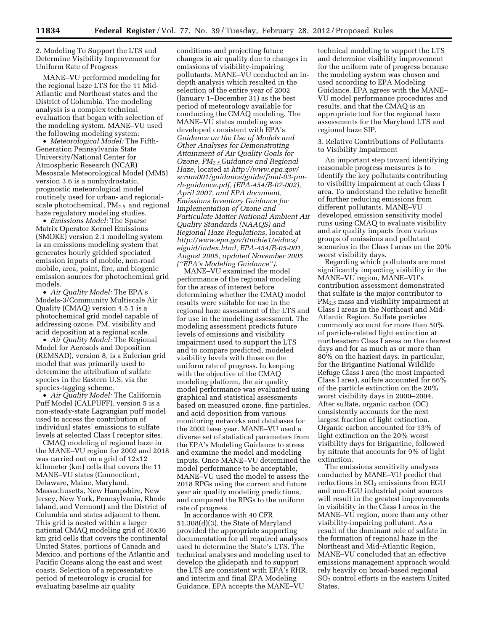2. Modeling To Support the LTS and Determine Visibility Improvement for Uniform Rate of Progress

MANE–VU performed modeling for the regional haze LTS for the 11 Mid-Atlantic and Northeast states and the District of Columbia. The modeling analysis is a complex technical evaluation that began with selection of the modeling system. MANE–VU used the following modeling system:

• *Meteorological Model:* The Fifth-Generation Pennsylvania State University/National Center for Atmospheric Research (NCAR) Mesoscale Meteorological Model (MM5) version 3.6 is a nonhydrostatic, prognostic meteorological model routinely used for urban- and regionalscale photochemical,  $PM_{2.5}$  and regional haze regulatory modeling studies.

• *Emissions Model:* The Sparse Matrix Operator Kernel Emissions (SMOKE) version 2.1 modeling system is an emissions modeling system that generates hourly gridded speciated emission inputs of mobile, non-road mobile, area, point, fire, and biogenic emission sources for photochemical grid models.

• *Air Quality Model:* The EPA's Models-3/Community Multiscale Air Quality (CMAQ) version 4.5.1 is a photochemical grid model capable of addressing ozone, PM, visibility and acid deposition at a regional scale.

• *Air Quality Model:* The Regional Model for Aerosols and Deposition (REMSAD), version 8, is a Eulerian grid model that was primarily used to determine the attribution of sulfate species in the Eastern U.S. via the species-tagging scheme.

• *Air Quality Model:* The California Puff Model (CALPUFF), version 5 is a non-steady-state Lagrangian puff model used to access the contribution of individual states' emissions to sulfate levels at selected Class I receptor sites.

CMAQ modeling of regional haze in the MANE–VU region for 2002 and 2018 was carried out on a grid of 12x12 kilometer (km) cells that covers the 11 MANE–VU states (Connecticut, Delaware, Maine, Maryland, Massachusetts, New Hampshire, New Jersey, New York, Pennsylvania, Rhode Island, and Vermont) and the District of Columbia and states adjacent to them. This grid is nested within a larger national CMAQ modeling grid of 36x36 km grid cells that covers the continental United States, portions of Canada and Mexico, and portions of the Atlantic and Pacific Oceans along the east and west coasts. Selection of a representative period of meteorology is crucial for evaluating baseline air quality

conditions and projecting future changes in air quality due to changes in emissions of visibility-impairing pollutants. MANE–VU conducted an indepth analysis which resulted in the selection of the entire year of 2002 (January 1–December 31) as the best period of meteorology available for conducting the CMAQ modeling. The MANE–VU states modeling was developed consistent with EPA's *Guidance on the Use of Models and Other Analyses for Demonstrating Attainment of Air Quality Goals for Ozone, PM2.5,Guidance and Regional Haze*, located at *[http://www.epa.gov/](http://www.epa.gov/scram001/guidance/guide/final-03-pm-rh-guidance.pdf) [scram001/guidance/guide/final-03-pm](http://www.epa.gov/scram001/guidance/guide/final-03-pm-rh-guidance.pdf)[rh-guidance.pdf,](http://www.epa.gov/scram001/guidance/guide/final-03-pm-rh-guidance.pdf) (EPA-454/B-07-002), April 2007, and EPA document, Emissions Inventory Guidance for Implementation of Ozone and Particulate Matter National Ambient Air Quality Standards (NAAQS) and Regional Haze Regulations,* located at *[http://www.epa.gov/ttnchie1/eidocs/](http://www.epa.gov/ttnchie1/eidocs/eiguid/index.html)  [eiguid/index.html,](http://www.epa.gov/ttnchie1/eidocs/eiguid/index.html) EPA-454/R-05-001, August 2005, updated November 2005 (''EPA's Modeling Guidance'').* 

MANE–VU examined the model performance of the regional modeling for the areas of interest before determining whether the CMAQ model results were suitable for use in the regional haze assessment of the LTS and for use in the modeling assessment. The modeling assessment predicts future levels of emissions and visibility impairment used to support the LTS and to compare predicted, modeled visibility levels with those on the uniform rate of progress. In keeping with the objective of the CMAQ modeling platform, the air quality model performance was evaluated using graphical and statistical assessments based on measured ozone, fine particles, and acid deposition from various monitoring networks and databases for the 2002 base year. MANE–VU used a diverse set of statistical parameters from the EPA's Modeling Guidance to stress and examine the model and modeling inputs. Once MANE–VU determined the model performance to be acceptable, MANE–VU used the model to assess the 2018 RPGs using the current and future year air quality modeling predictions, and compared the RPGs to the uniform rate of progress.

In accordance with 40 CFR 51.308(d)(3), the State of Maryland provided the appropriate supporting documentation for all required analyses used to determine the State's LTS. The technical analyses and modeling used to develop the glidepath and to support the LTS are consistent with EPA's RHR, and interim and final EPA Modeling Guidance. EPA accepts the MANE–VU

technical modeling to support the LTS and determine visibility improvement for the uniform rate of progress because the modeling system was chosen and used according to EPA Modeling Guidance. EPA agrees with the MANE– VU model performance procedures and results, and that the CMAQ is an appropriate tool for the regional haze assessments for the Maryland LTS and regional haze SIP.

3. Relative Contributions of Pollutants to Visibility Impairment

An important step toward identifying reasonable progress measures is to identify the key pollutants contributing to visibility impairment at each Class I area. To understand the relative benefit of further reducing emissions from different pollutants, MANE–VU developed emission sensitivity model runs using CMAQ to evaluate visibility and air quality impacts from various groups of emissions and pollutant scenarios in the Class I areas on the 20% worst visibility days.

Regarding which pollutants are most significantly impacting visibility in the MANE–VU region, MANE–VU's contribution assessment demonstrated that sulfate is the major contributor to PM2.5 mass and visibility impairment at Class I areas in the Northeast and Mid-Atlantic Region. Sulfate particles commonly account for more than 50% of particle-related light extinction at northeastern Class I areas on the clearest days and for as much as or more than 80% on the haziest days. In particular, for the Brigantine National Wildlife Refuge Class I area (the most impacted Class I area), sulfate accounted for 66% of the particle extinction on the 20% worst visibility days in 2000–2004. After sulfate, organic carbon (OC) consistently accounts for the next largest fraction of light extinction. Organic carbon accounted for 13% of light extinction on the 20% worst visibility days for Brigantine, followed by nitrate that accounts for 9% of light extinction.

The emissions sensitivity analyses conducted by MANE–VU predict that reductions in  $SO<sub>2</sub>$  emissions from EGU and non-EGU industrial point sources will result in the greatest improvements in visibility in the Class I areas in the MANE–VU region, more than any other visibility-impairing pollutant. As a result of the dominant role of sulfate in the formation of regional haze in the Northeast and Mid-Atlantic Region, MANE–VU concluded that an effective emissions management approach would rely heavily on broad-based regional SO2 control efforts in the eastern United States.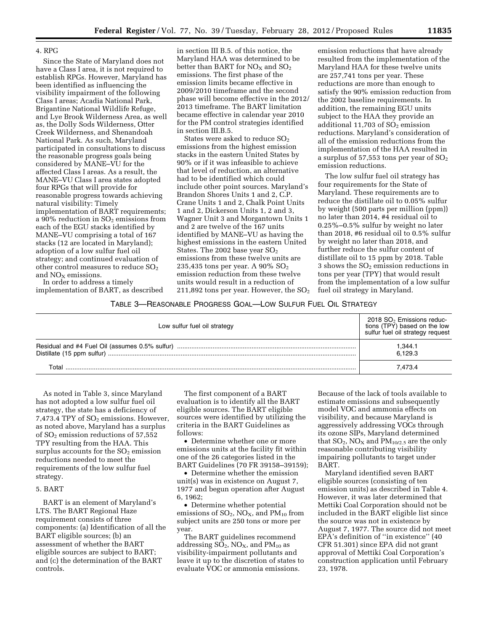#### 4. RPG

Since the State of Maryland does not have a Class I area, it is not required to establish RPGs. However, Maryland has been identified as influencing the visibility impairment of the following Class I areas; Acadia National Park, Brigantine National Wildlife Refuge, and Lye Brook Wilderness Area, as well as, the Dolly Sods Wilderness, Otter Creek Wilderness, and Shenandoah National Park. As such, Maryland participated in consultations to discuss the reasonable progress goals being considered by MANE–VU for the affected Class I areas. As a result, the MANE–VU Class I area states adopted four RPGs that will provide for reasonable progress towards achieving natural visibility: Timely implementation of BART requirements; a 90% reduction in  $SO_2$  emissions from each of the EGU stacks identified by MANE–VU comprising a total of 167 stacks (12 are located in Maryland); adoption of a low sulfur fuel oil strategy; and continued evaluation of other control measures to reduce  $SO<sub>2</sub>$ and  $NO<sub>x</sub>$  emissions.

In order to address a timely implementation of BART, as described in section III B.5. of this notice, the Maryland HAA was determined to be better than BART for  $NO<sub>x</sub>$  and  $SO<sub>2</sub>$ emissions. The first phase of the emission limits became effective in 2009/2010 timeframe and the second phase will become effective in the 2012/ 2013 timeframe. The BART limitation became effective in calendar year 2010 for the PM control strategies identified in section III.B.5.

States were asked to reduce  $SO<sub>2</sub>$ emissions from the highest emission stacks in the eastern United States by 90% or if it was infeasible to achieve that level of reduction, an alternative had to be identified which could include other point sources. Maryland's Brandon Shores Units 1 and 2, C.P. Crane Units 1 and 2, Chalk Point Units 1 and 2, Dickerson Units 1, 2 and 3, Wagner Unit 3 and Morgantown Units 1 and 2 are twelve of the 167 units identified by MANE–VU as having the highest emissions in the eastern United States. The 2002 base year  $SO<sub>2</sub>$ emissions from these twelve units are 235,435 tons per year. A  $90\%$   $SO<sub>2</sub>$ emission reduction from these twelve units would result in a reduction of 211,892 tons per year. However, the  $SO<sub>2</sub>$ 

emission reductions that have already resulted from the implementation of the Maryland HAA for these twelve units are 257,741 tons per year. These reductions are more than enough to satisfy the 90% emission reduction from the 2002 baseline requirements. In addition, the remaining EGU units subject to the HAA they provide an additional 11,703 of  $SO<sub>2</sub>$  emission reductions. Maryland's consideration of all of the emission reductions from the implementation of the HAA resulted in a surplus of  $57,553$  tons per year of  $SO<sub>2</sub>$ emission reductions.

The low sulfur fuel oil strategy has four requirements for the State of Maryland. These requirements are to reduce the distillate oil to 0.05% sulfur by weight (500 parts per million (ppm)) no later than 2014, #4 residual oil to 0.25%–0.5% sulfur by weight no later than 2018, #6 residual oil to 0.5% sulfur by weight no later than 2018, and further reduce the sulfur content of distillate oil to 15 ppm by 2018. Table 3 shows the  $SO<sub>2</sub>$  emission reductions in tons per year (TPY) that would result from the implementation of a low sulfur fuel oil strategy in Maryland.

## TABLE 3—REASONABLE PROGRESS GOAL—LOW SULFUR FUEL OIL STRATEGY

| Low sulfur fuel oil strategy | $2018$ SO <sub>2</sub> Emissions reduc-<br>tions (TPY) based on the low<br>sulfur fuel oil strategy request |
|------------------------------|-------------------------------------------------------------------------------------------------------------|
|                              | 1.344.1<br>6.129.3                                                                                          |
|                              | 7.473.4                                                                                                     |

As noted in Table 3, since Maryland has not adopted a low sulfur fuel oil strategy, the state has a deficiency of 7,473.4 TPY of  $SO<sub>2</sub>$  emissions. However, as noted above, Maryland has a surplus of  $SO<sub>2</sub>$  emission reductions of 57,552 TPY resulting from the HAA. This surplus accounts for the  $SO<sub>2</sub>$  emission reductions needed to meet the requirements of the low sulfur fuel strategy.

## 5. BART

BART is an element of Maryland's LTS. The BART Regional Haze requirement consists of three components: (a) Identification of all the BART eligible sources; (b) an assessment of whether the BART eligible sources are subject to BART; and (c) the determination of the BART controls.

The first component of a BART evaluation is to identify all the BART eligible sources. The BART eligible sources were identified by utilizing the criteria in the BART Guidelines as follows:

• Determine whether one or more emissions units at the facility fit within one of the 26 categories listed in the BART Guidelines (70 FR 39158–39159);

• Determine whether the emission unit(s) was in existence on August 7, 1977 and begun operation after August 6, 1962;

• Determine whether potential emissions of  $SO_2$ ,  $NO_X$ , and  $PM_{10}$  from subject units are 250 tons or more per year.

The BART guidelines recommend addressing  $SO_2$ ,  $NO_X$ , and  $PM_{10}$  as visibility-impairment pollutants and leave it up to the discretion of states to evaluate VOC or ammonia emissions.

Because of the lack of tools available to estimate emissions and subsequently model VOC and ammonia effects on visibility, and because Maryland is aggressively addressing VOCs through its ozone SIPs, Maryland determined that  $SO_2$ ,  $NO_X$  and  $PM_{10/2.5}$  are the only reasonable contributing visibility impairing pollutants to target under BART.

Maryland identified seven BART eligible sources (consisting of ten emission units) as described in Table 4. However, it was later determined that Mettiki Coal Corporation should not be included in the BART eligible list since the source was not in existence by August 7, 1977. The source did not meet EPA's definition of ''in existence'' (40 CFR 51.301) since EPA did not grant approval of Mettiki Coal Corporation's construction application until February 23, 1978.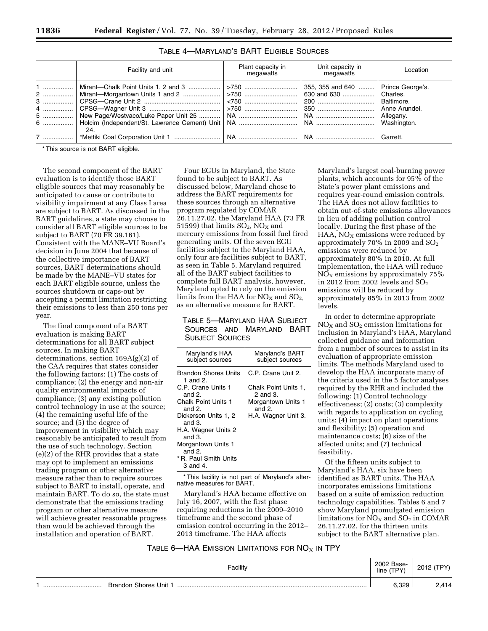| Facility and unit                                                                                                                                                                                            | Plant capacity in<br>megawatts | Unit capacity in<br>megawatts        | Location |
|--------------------------------------------------------------------------------------------------------------------------------------------------------------------------------------------------------------|--------------------------------|--------------------------------------|----------|
| 1    Mirant—Chalk Point Units 1, 2 and 3    >750<br>2    Mirant—Morgantown Units 1 and 2    >750    630 and 630    Charles.<br>6    Holcim (Independent/St. Lawrence Cement) Unit   NA    Washington.<br>24. |                                | 355, 355 and 640    Prince George's. |          |
|                                                                                                                                                                                                              |                                |                                      | Garrett. |

# TABLE 4—MARYLAND'S BART ELIGIBLE SOURCES

\* This source is not BART eligible.

The second component of the BART evaluation is to identify those BART eligible sources that may reasonably be anticipated to cause or contribute to visibility impairment at any Class I area are subject to BART. As discussed in the BART guidelines, a state may choose to consider all BART eligible sources to be subject to BART (70 FR 39.161). Consistent with the MANE–VU Board's decision in June 2004 that because of the collective importance of BART sources, BART determinations should be made by the MANE–VU states for each BART eligible source, unless the sources shutdown or caps-out by accepting a permit limitation restricting their emissions to less than 250 tons per year.

The final component of a BART evaluation is making BART determinations for all BART subject sources. In making BART determinations, section 169A(g)(2) of the CAA requires that states consider the following factors: (1) The costs of compliance; (2) the energy and non-air quality environmental impacts of compliance; (3) any existing pollution control technology in use at the source; (4) the remaining useful life of the source; and (5) the degree of improvement in visibility which may reasonably be anticipated to result from the use of such technology. Section (e)(2) of the RHR provides that a state may opt to implement an emissions trading program or other alternative measure rather than to require sources subject to BART to install, operate, and maintain BART. To do so, the state must demonstrate that the emissions trading program or other alternative measure will achieve greater reasonable progress than would be achieved through the installation and operation of BART.

Four EGUs in Maryland, the State found to be subject to BART. As discussed below, Maryland chose to address the BART requirements for these sources through an alternative program regulated by COMAR 26.11.27.02, the Maryland HAA (73 FR 51599) that limits  $SO_2$ ,  $NO<sub>X</sub>$  and mercury emissions from fossil fuel fired generating units. Of the seven EGU facilities subject to the Maryland HAA, only four are facilities subject to BART, as seen in Table 5. Maryland required all of the BART subject facilities to complete full BART analysis, however, Maryland opted to rely on the emission limits from the HAA for  $NO<sub>x</sub>$  and  $SO<sub>2</sub>$ . as an alternative measure for BART.

# TABLE 5—MARYLAND HAA SUBJECT SOURCES AND MARYLAND BART SUBJECT SOURCES

| Maryland's HAA<br>subject sources       | Maryland's BART<br>subject sources    |
|-----------------------------------------|---------------------------------------|
| <b>Brandon Shores Units</b><br>1 and 2. | C.P. Crane Unit 2.                    |
| C.P. Crane Units 1<br>and $21$          | Chalk Point Units 1,<br>$2$ and $3$ . |
| <b>Chalk Point Units 1</b><br>and 2.    | Morgantown Units 1<br>and $2$ .       |
| Dickerson Units 1, 2<br>and $3$ .       | H.A. Wagner Unit 3.                   |
| H.A. Wagner Units 2<br>and $3$ .        |                                       |
| Morgantown Units 1<br>and 2.            |                                       |
| * R. Paul Smith Units<br>3 and 4.       |                                       |

\* This facility is not part of Maryland's alternative measures for BART.

Maryland's HAA became effective on July 16, 2007, with the first phase requiring reductions in the 2009–2010 timeframe and the second phase of emission control occurring in the 2012– 2013 timeframe. The HAA affects

Maryland's largest coal-burning power plants, which accounts for 95% of the State's power plant emissions and requires year-round emission controls. The HAA does not allow facilities to obtain out-of-state emissions allowances in lieu of adding pollution control locally. During the first phase of the HAA,  $NO<sub>X</sub>$  emissions were reduced by approximately 70% in 2009 and SO2 emissions were reduced by approximately 80% in 2010. At full implementation, the HAA will reduce  $NO<sub>x</sub>$  emissions by approximately 75% in 2012 from 2002 levels and  $SO_2$ emissions will be reduced by approximately 85% in 2013 from 2002 levels.

In order to determine appropriate  $NO<sub>X</sub>$  and  $SO<sub>2</sub>$  emission limitations for inclusion in Maryland's HAA, Maryland collected guidance and information from a number of sources to assist in its evaluation of appropriate emission limits. The methods Maryland used to develop the HAA incorporate many of the criteria used in the 5 factor analyses required by the RHR and included the following: (1) Control technology effectiveness; (2) costs; (3) complexity with regards to application on cycling units; (4) impact on plant operations and flexibility; (5) operation and maintenance costs; (6) size of the affected units; and (7) technical feasibility.

Of the fifteen units subject to Maryland's HAA, six have been identified as BART units. The HAA incorporates emissions limitations based on a suite of emission reduction technology capabilities. Tables 6 and 7 show Maryland promulgated emission limitations for  $NO<sub>X</sub>$  and  $SO<sub>2</sub>$  in COMAR 26.11.27.02. for the thirteen units subject to the BART alternative plan.

TABLE 6—HAA EMISSION LIMITATIONS FOR  $NO<sub>X</sub>$  in TPY

| Facility                         | 2002 Base-<br>line (TPY) | 2012 (TPY) |
|----------------------------------|--------------------------|------------|
| <br><b>Brandon Shores Unit 1</b> | 6,329                    | 2,414      |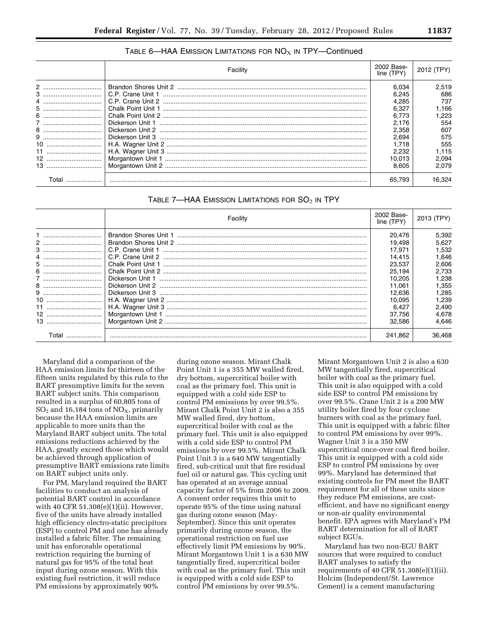## TABLE 6—HAA EMISSION LIMITATIONS FOR  $NO<sub>X</sub>$  in TPY—Continued

|       | Facility | 2002 Base-<br>line (TPY) | 2012 (TPY) |
|-------|----------|--------------------------|------------|
|       |          | 6.034                    | 2.519      |
|       |          | 6.245                    | 686        |
|       |          | 4.285                    | 737        |
| 5     |          | 6.327                    | l.166      |
|       |          | 6.773                    | .223       |
|       |          | 2.176                    | 554        |
|       |          | 2.358                    | 607        |
|       |          | 2.694                    | 575        |
|       |          | 1.718                    | 555        |
|       |          | 2.232                    | 1.115      |
| 12    |          | 10.013                   | 2.094      |
|       |          | 8.605                    | 2.079      |
| ⊺otal |          | 65.793                   | 16.324     |

| TABLE 7—HAA EMISSION LIMITATIONS FOR $SO2$ in TPY |  |
|---------------------------------------------------|--|
|---------------------------------------------------|--|

|       | Facility | 2002 Base-<br>line (TPY) | 2013 (TPY) |
|-------|----------|--------------------------|------------|
|       |          | 20.476                   | 5,392      |
|       |          | 19.498                   | 5.627      |
| 3     |          | 17.971                   | 1,532      |
| 4     |          | 14.415                   | 1.646      |
|       |          | 23.537                   | 2.606      |
|       |          | 25.194                   | 2.733      |
|       |          | 10.205                   | 1.238      |
|       |          | 11.061                   | .355       |
|       |          | 12.636                   | 285. ا     |
|       |          | 10.095                   | 239. ا     |
| 11    |          | 6.427                    | 2.490      |
|       |          | 37.756                   | 4.678      |
|       |          | 32.586                   | 4.646      |
| Total |          | 241,862                  | 36.468     |

Maryland did a comparison of the HAA emission limits for thirteen of the fifteen units regulated by this rule to the BART presumptive limits for the seven BART subject units. This comparison resulted in a surplus of 60,805 tons of  $SO<sub>2</sub>$  and 16,184 tons of NO<sub>X</sub>, primarily because the HAA emission limits are applicable to more units than the Maryland BART subject units. The total emissions reductions achieved by the HAA, greatly exceed those which would be achieved through application of presumptive BART emissions rate limits on BART subject units only.

For PM, Maryland required the BART facilities to conduct an analysis of potential BART control in accordance with 40 CFR 51.308(e)(1)(ii). However, five of the units have already installed high efficiency electro-static precipitors (ESP) to control PM and one has already installed a fabric filter. The remaining unit has enforceable operational restriction requiring the burning of natural gas for 95% of the total heat input during ozone season. With this existing fuel restriction, it will reduce PM emissions by approximately 90%

during ozone season. Mirant Chalk Point Unit 1 is a 355 MW walled fired, dry bottom, supercritical boiler with coal as the primary fuel. This unit is equipped with a cold side ESP to control PM emissions by over 99.5%. Mirant Chalk Point Unit 2 is also a 355 MW walled fired, dry bottom, supercritical boiler with coal as the primary fuel. This unit is also equipped with a cold side ESP to control PM emissions by over 99.5%. Mirant Chalk Point Unit 3 is a 640 MW tangentially fired, sub-critical unit that fire residual fuel oil or natural gas. This cycling unit has operated at an average annual capacity factor of 5% from 2006 to 2009. A consent order requires this unit to operate 95% of the time using natural gas during ozone season (May-September). Since this unit operates primarily during ozone season, the operational restriction on fuel use effectively limit PM emissions by 90%. Mirant Morgantown Unit 1 is a 630 MW tangentially fired, supercritical boiler with coal as the primary fuel. This unit is equipped with a cold side ESP to control PM emissions by over 99.5%.

Mirant Morgantown Unit 2 is also a 630 MW tangentially fired, supercritical boiler with coal as the primary fuel. This unit is also equipped with a cold side ESP to control PM emissions by over 99.5%. Crane Unit 2 is a 200 MW utility boiler fired by four cyclone burners with coal as the primary fuel. This unit is equipped with a fabric filter to control PM emissions by over 99%. Wagner Unit 3 is a 350 MW supercritical once-over coal fired boiler. This unit is equipped with a cold side ESP to control PM emissions by over 99%. Maryland has determined that existing controls for PM meet the BART requirement for all of these units since they reduce PM emissions, are costefficient, and have no significant energy or non-air quality environmental benefit. EPA agrees with Maryland's PM BART determination for all of BART subject EGUs.

Maryland has two non-EGU BART sources that were required to conduct BART analyses to satisfy the requirements of 40 CFR 51.308(e)(1)(ii). Holcim (Independent/St. Lawrence Cement) is a cement manufacturing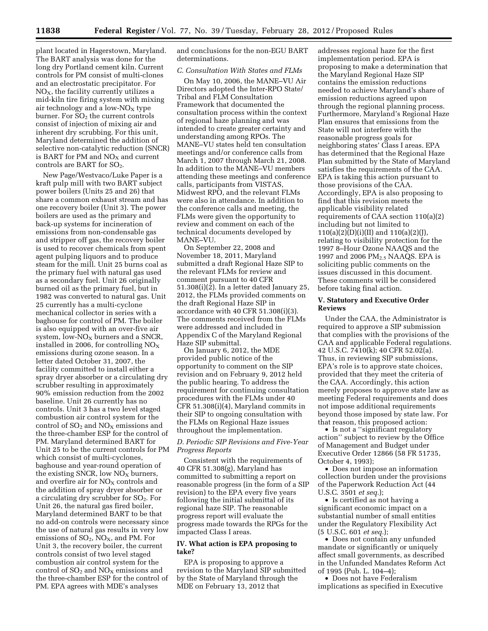plant located in Hagerstown, Maryland. The BART analysis was done for the long dry Portland cement kiln. Current controls for PM consist of multi-clones and an electrostatic precipitator. For  $NO<sub>X</sub>$ , the facility currently utilizes a mid-kiln tire firing system with mixing air technology and a low- $N_{\rm X}$  type burner. For  $SO<sub>2</sub>$  the current controls consist of injection of mixing air and inherent dry scrubbing. For this unit, Maryland determined the addition of selective non-catalytic reduction (SNCR) is BART for PM and  $NO<sub>X</sub>$  and current controls are BART for  $SO_2$ .

New Page/Westvaco/Luke Paper is a kraft pulp mill with two BART subject power boilers (Units 25 and 26) that share a common exhaust stream and has one recovery boiler (Unit 3). The power boilers are used as the primary and back-up systems for incineration of emissions from non-condensable gas and stripper off gas, the recovery boiler is used to recover chemicals from spent agent pulping liquors and to produce steam for the mill. Unit 25 burns coal as the primary fuel with natural gas used as a secondary fuel. Unit 26 originally burned oil as the primary fuel, but in 1982 was converted to natural gas. Unit 25 currently has a multi-cyclone mechanical collector in series with a baghouse for control of PM. The boiler is also equipped with an over-five air system, low- $NO<sub>X</sub>$  burners and a SNCR, installed in 2006, for controlling  $NO<sub>x</sub>$ emissions during ozone season. In a letter dated October 31, 2007, the facility committed to install either a spray dryer absorber or a circulating dry scrubber resulting in approximately 90% emission reduction from the 2002 baseline. Unit 26 currently has no controls. Unit 3 has a two level staged combustion air control system for the control of  $SO<sub>2</sub>$  and  $NO<sub>X</sub>$  emissions and the three-chamber ESP for the control of PM. Maryland determined BART for Unit 25 to be the current controls for PM which consist of multi-cyclones, baghouse and year-round operation of the existing SNCR, low  $NO<sub>X</sub>$  burners, and overfire air for  $NO<sub>X</sub>$  controls and the addition of spray dryer absorber or a circulating dry scrubber for  $SO<sub>2</sub>$ . For Unit 26, the natural gas fired boiler, Maryland determined BART to be that no add-on controls were necessary since the use of natural gas results in very low emissions of  $SO_2$ ,  $NO_X$ , and PM. For Unit 3, the recovery boiler, the current controls consist of two level staged combustion air control system for the control of  $SO<sub>2</sub>$  and  $NO<sub>X</sub>$  emissions and the three-chamber ESP for the control of PM. EPA agrees with MDE's analyses

and conclusions for the non-EGU BART determinations.

## *C. Consultation With States and FLMs*

On May 10, 2006, the MANE–VU Air Directors adopted the Inter-RPO State/ Tribal and FLM Consultation Framework that documented the consultation process within the context of regional haze planning and was intended to create greater certainty and understanding among RPOs. The MANE–VU states held ten consultation meetings and/or conference calls from March 1, 2007 through March 21, 2008. In addition to the MANE–VU members attending these meetings and conference calls, participants from VISTAS, Midwest RPO, and the relevant FLMs were also in attendance. In addition to the conference calls and meeting, the FLMs were given the opportunity to review and comment on each of the technical documents developed by MANE–VU.

On September 22, 2008 and November 18, 2011, Maryland submitted a draft Regional Haze SIP to the relevant FLMs for review and comment pursuant to 40 CFR 51.308(i)(2). In a letter dated January 25, 2012, the FLMs provided comments on the draft Regional Haze SIP in accordance with 40 CFR 51.308(i)(3). The comments received from the FLMs were addressed and included in Appendix C of the Maryland Regional Haze SIP submittal.

On January 6, 2012, the MDE provided public notice of the opportunity to comment on the SIP revision and on February 9, 2012 held the public hearing. To address the requirement for continuing consultation procedures with the FLMs under 40 CFR 51.308(i)(4), Maryland commits in their SIP to ongoing consultation with the FLMs on Regional Haze issues throughout the implementation.

## *D. Periodic SIP Revisions and Five-Year Progress Reports*

Consistent with the requirements of 40 CFR 51.308(g), Maryland has committed to submitting a report on reasonable progress (in the form of a SIP revision) to the EPA every five years following the initial submittal of its regional haze SIP. The reasonable progress report will evaluate the progress made towards the RPGs for the impacted Class I areas.

### **IV. What action is EPA proposing to take?**

EPA is proposing to approve a revision to the Maryland SIP submitted by the State of Maryland through the MDE on February 13, 2012 that

addresses regional haze for the first implementation period. EPA is proposing to make a determination that the Maryland Regional Haze SIP contains the emission reductions needed to achieve Maryland's share of emission reductions agreed upon through the regional planning process. Furthermore, Maryland's Regional Haze Plan ensures that emissions from the State will not interfere with the reasonable progress goals for neighboring states' Class I areas. EPA has determined that the Regional Haze Plan submitted by the State of Maryland satisfies the requirements of the CAA. EPA is taking this action pursuant to those provisions of the CAA. Accordingly, EPA is also proposing to find that this revision meets the applicable visibility related requirements of CAA section 110(a)(2) including but not limited to 110(a)(2)(D)(i)(II) and 110(a)(2)(J), relating to visibility protection for the 1997 8–Hour Ozone NAAQS and the 1997 and 2006 PM<sub>2.5</sub> NAAQS. EPA is soliciting public comments on the issues discussed in this document. These comments will be considered before taking final action.

### **V. Statutory and Executive Order Reviews**

Under the CAA, the Administrator is required to approve a SIP submission that complies with the provisions of the CAA and applicable Federal regulations. 42 U.S.C. 7410(k); 40 CFR 52.02(a). Thus, in reviewing SIP submissions, EPA's role is to approve state choices, provided that they meet the criteria of the CAA. Accordingly, this action merely proposes to approve state law as meeting Federal requirements and does not impose additional requirements beyond those imposed by state law. For that reason, this proposed action:

• Is not a ''significant regulatory action'' subject to review by the Office of Management and Budget under Executive Order 12866 (58 FR 51735, October 4, 1993);

• Does not impose an information collection burden under the provisions of the Paperwork Reduction Act (44 U.S.C. 3501 *et seq.*);

• Is certified as not having a significant economic impact on a substantial number of small entities under the Regulatory Flexibility Act (5 U.S.C. 601 *et seq.*);

• Does not contain any unfunded mandate or significantly or uniquely affect small governments, as described in the Unfunded Mandates Reform Act of 1995 (Pub. L. 104–4);

• Does not have Federalism implications as specified in Executive